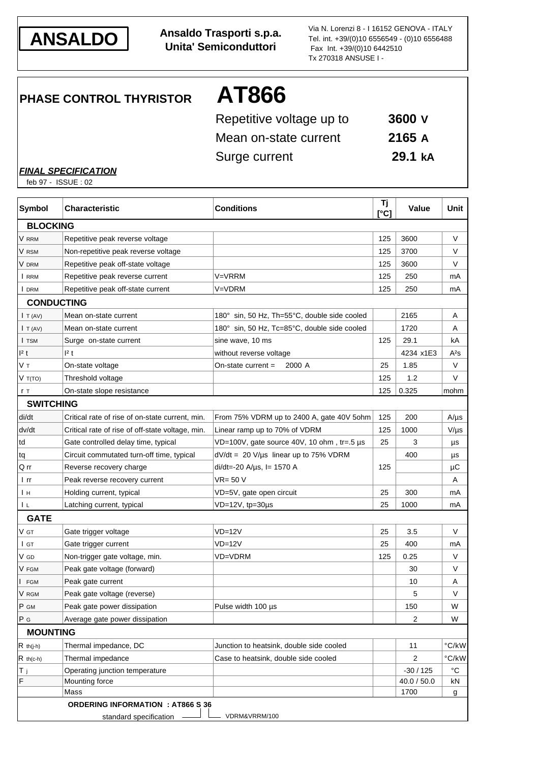

**ANSALDO Ansaldo Trasporti s.p.a. Unita' Semiconduttori**

Via N. Lorenzi 8 - I 16152 GENOVA - ITALY Tel. int. +39/(0)10 6556549 - (0)10 6556488 Fax Int. +39/(0)10 6442510 Tx 270318 ANSUSE I -

**PHASE CONTROL THYRISTOR AT866**

| Repetitive voltage up to | 3600 V  |
|--------------------------|---------|
| Mean on-state current    | 2165A   |
| Surge current            | 29.1 kA |

*FINAL SPECIFICATION*

feb 97 - ISSUE : 02

| <b>Symbol</b>       | <b>Characteristic</b>                            | <b>Conditions</b>                            | Τj<br>[°C] | <b>Value</b> | Unit         |
|---------------------|--------------------------------------------------|----------------------------------------------|------------|--------------|--------------|
| <b>BLOCKING</b>     |                                                  |                                              |            |              |              |
| V rrm               | Repetitive peak reverse voltage                  |                                              | 125        | 3600         | V            |
| V rsm               | Non-repetitive peak reverse voltage              |                                              | 125        | 3700         | V            |
| V drm               | Repetitive peak off-state voltage                |                                              | 125        | 3600         | V            |
| I RRM               | Repetitive peak reverse current                  | V=VRRM                                       | 125        | 250          | mA           |
| I DRM               | Repetitive peak off-state current                | V=VDRM                                       | 125        | 250          | mA           |
|                     | <b>CONDUCTING</b>                                |                                              |            |              |              |
| $\mathsf{I}$ T (AV) | Mean on-state current                            | 180° sin, 50 Hz, Th=55°C, double side cooled |            | 2165         | A            |
| I T (AV)            | Mean on-state current                            | 180° sin, 50 Hz, Tc=85°C, double side cooled |            | 1720         | Α            |
| I TSM               | Surge on-state current                           | sine wave, 10 ms                             | 125        | 29.1         | kA           |
| 1 <sup>2</sup> t    | 2t                                               | without reverse voltage                      |            | 4234 x1E3    | $A^2S$       |
| Vт                  | On-state voltage                                 | 2000 A<br>On-state current $=$               | 25         | 1.85         | V            |
| V T(TO)             | Threshold voltage                                |                                              | 125        | 1.2          | V            |
| r T                 | On-state slope resistance                        |                                              | 125        | 0.325        | mohm         |
| <b>SWITCHING</b>    |                                                  |                                              |            |              |              |
| di/dt               | Critical rate of rise of on-state current, min.  | From 75% VDRM up to 2400 A, gate 40V 5ohm    | 125        | 200          | $A/\mu s$    |
| dv/dt               | Critical rate of rise of off-state voltage, min. | Linear ramp up to 70% of VDRM                | 125        | 1000         | $V/\mu s$    |
| td                  | Gate controlled delay time, typical              | VD=100V, gate source 40V, 10 ohm, tr=.5 µs   | 25         | 3            | μs           |
| tq                  | Circuit commutated turn-off time, typical        | $dV/dt = 20 V/\mu s$ linear up to 75% VDRM   |            | 400          | μs           |
| Q rr                | Reverse recovery charge                          | $di/dt = -20$ A/ $\mu$ s, l = 1570 A         | 125        |              | μC           |
| l rr                | Peak reverse recovery current                    | $VR = 50 V$                                  |            |              | Α            |
| Iн                  | Holding current, typical                         | VD=5V, gate open circuit                     | 25         | 300          | mA           |
| 1 L                 | Latching current, typical                        | $VD=12V$ , tp=30 $\mu$ s                     | 25         | 1000         | mA           |
| <b>GATE</b>         |                                                  |                                              |            |              |              |
| V GT                | Gate trigger voltage                             | $VD=12V$                                     | 25         | 3.5          | V            |
| I GT                | Gate trigger current                             | $VD=12V$                                     | 25         | 400          | mA           |
| V GD                | Non-trigger gate voltage, min.                   | VD=VDRM                                      | 125        | 0.25         | V            |
| V FGM               | Peak gate voltage (forward)                      |                                              |            | 30           | V            |
| <b>FGM</b>          | Peak gate current                                |                                              |            | 10           | A            |
| V RGM               | Peak gate voltage (reverse)                      |                                              |            | 5            | V            |
| P GM                | Peak gate power dissipation                      | Pulse width 100 µs                           |            | 150          | W            |
| P G                 | Average gate power dissipation                   |                                              |            | 2            | W            |
| <b>MOUNTING</b>     |                                                  |                                              |            |              |              |
| $R$ th(j-h)         | Thermal impedance, DC                            | Junction to heatsink, double side cooled     |            | 11           | °C/kW        |
| $R$ th(c-h)         | Thermal impedance                                | Case to heatsink, double side cooled         |            | 2            | °C/kW        |
| Τj                  | Operating junction temperature                   |                                              |            | $-30/125$    | $^{\circ}$ C |
| F                   | Mounting force                                   |                                              |            | 40.0 / 50.0  | kN           |
|                     | Mass                                             |                                              |            | 1700         | g            |
|                     | <b>ORDERING INFORMATION : AT866 S 36</b>         |                                              |            |              |              |
|                     | standard specification                           | VDRM&VRRM/100                                |            |              |              |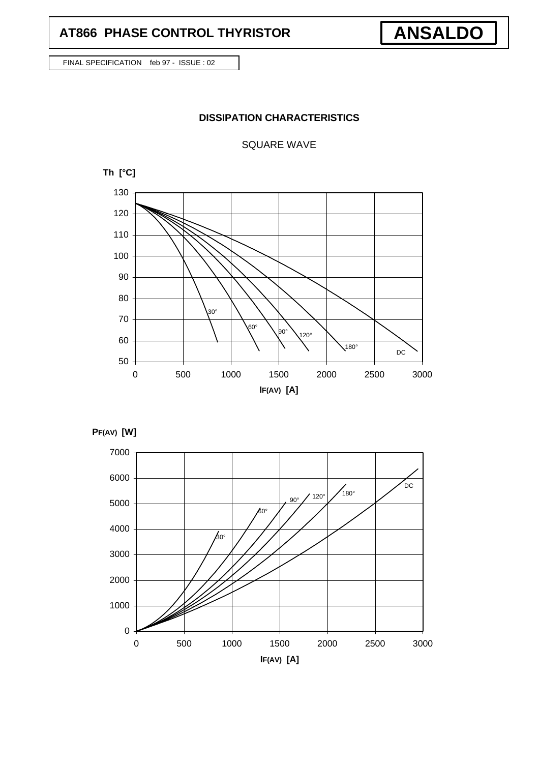## **AT866 PHASE CONTROL THYRISTOR**

FINAL SPECIFICATION feb 97 - ISSUE : 02

## **DISSIPATION CHARACTERISTICS**

SQUARE WAVE







**ANSALDO**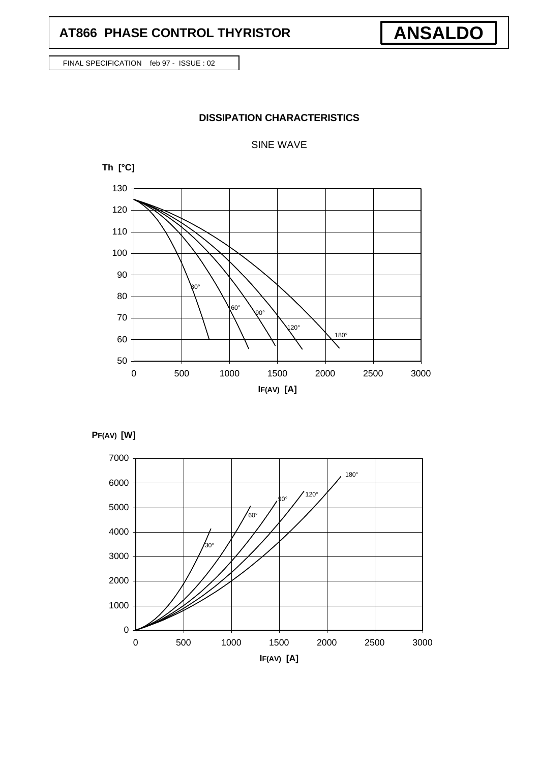## **AT866 PHASE CONTROL THYRISTOR**

FINAL SPECIFICATION feb 97 - ISSUE : 02

## **DISSIPATION CHARACTERISTICS**

#### SINE WAVE







**ANSALDO**